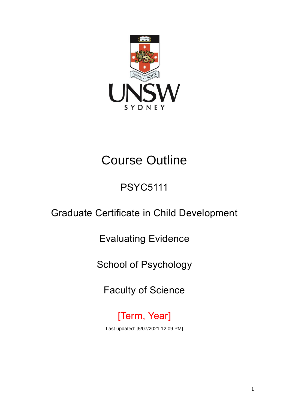

# Course Outline

## PSYC5111

## Graduate Certificate in Child Development

Evaluating Evidence

School of Psychology

Faculty of Science

[Term, Year] Last updated: [5/07/2021 12:09 PM]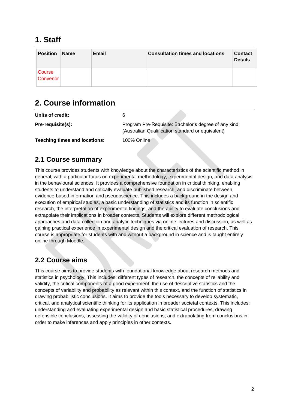## **1. Staff**

| Position           | <b>Name</b> | Email | <b>Consultation times and locations</b> | <b>Contact</b><br><b>Details</b> |
|--------------------|-------------|-------|-----------------------------------------|----------------------------------|
| Course<br>Convenor |             |       |                                         |                                  |

## **2. Course information**

| Units of credit:                     |                                                                                                           |
|--------------------------------------|-----------------------------------------------------------------------------------------------------------|
| Pre-requisite(s):                    | Program Pre-Requisite: Bachelor's degree of any kind<br>(Australian Qualification standard or equivalent) |
| <b>Teaching times and locations:</b> | 100% Online                                                                                               |

### **2.1 Course summary**

This course provides students with knowledge about the characteristics of the scientific method in general, with a particular focus on experimental methodology, experimental design, and data analysis in the behavioural sciences. It provides a comprehensive foundation in critical thinking, enabling students to understand and critically evaluate published research, and discriminate between evidence-based information and pseudoscience. This includes a background in the design and execution of empirical studies, a basic understanding of statistics and its function in scientific research, the interpretation of experimental findings, and the ability to evaluate conclusions and extrapolate their implications in broader contexts. Students will explore different methodological approaches and data collection and analytic techniques via online lectures and discussion, as well as gaining practical experience in experimental design and the critical evaluation of research. This course is appropriate for students with and without a background in science and is taught entirely online through Moodle.

### **2.2 Course aims**

This course aims to provide students with foundational knowledge about research methods and statistics in psychology. This includes: different types of research, the concepts of reliability and validity, the critical components of a good experiment, the use of descriptive statistics and the concepts of variability and probability as relevant within this context, and the function of statistics in drawing probabilistic conclusions. It aims to provide the tools necessary to develop systematic, critical, and analytical scientific thinking for its application in broader societal contexts. This includes: understanding and evaluating experimental design and basic statistical procedures, drawing defensible conclusions, assessing the validity of conclusions, and extrapolating from conclusions in order to make inferences and apply principles in other contexts.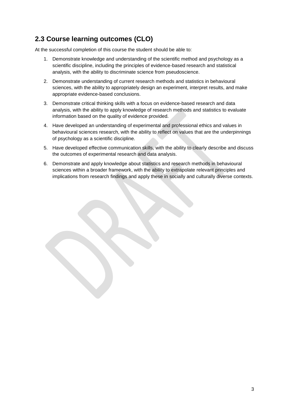### **2.3 Course learning outcomes (CLO)**

At the successful completion of this course the student should be able to:

- 1. Demonstrate knowledge and understanding of the scientific method and psychology as a scientific discipline, including the principles of evidence-based research and statistical analysis, with the ability to discriminate science from pseudoscience.
- 2. Demonstrate understanding of current research methods and statistics in behavioural sciences, with the ability to appropriately design an experiment, interpret results, and make appropriate evidence-based conclusions.
- 3. Demonstrate critical thinking skills with a focus on evidence-based research and data analysis, with the ability to apply knowledge of research methods and statistics to evaluate information based on the quality of evidence provided.
- 4. Have developed an understanding of experimental and professional ethics and values in behavioural sciences research, with the ability to reflect on values that are the underpinnings of psychology as a scientific discipline.
- 5. Have developed effective communication skills, with the ability to clearly describe and discuss the outcomes of experimental research and data analysis.
- 6. Demonstrate and apply knowledge about statistics and research methods in behavioural sciences within a broader framework, with the ability to extrapolate relevant principles and implications from research findings and apply these in socially and culturally diverse contexts.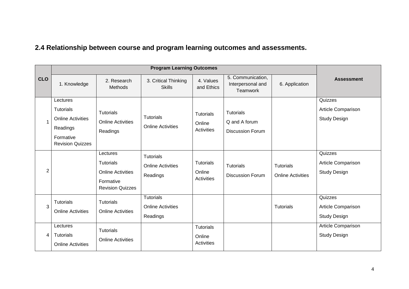## **2.4 Relationship between course and program learning outcomes and assessments.**

|            | <b>Program Learning Outcomes</b>                                                                             |                                                                                           |                                                          |                                                 |                                                       |                                              |                                                      |
|------------|--------------------------------------------------------------------------------------------------------------|-------------------------------------------------------------------------------------------|----------------------------------------------------------|-------------------------------------------------|-------------------------------------------------------|----------------------------------------------|------------------------------------------------------|
| <b>CLO</b> | 1. Knowledge                                                                                                 | 2. Research<br>Methods                                                                    | 3. Critical Thinking<br><b>Skills</b>                    | 4. Values<br>and Ethics                         | 5. Communication,<br>Interpersonal and<br>Teamwork    | 6. Application                               | <b>Assessment</b>                                    |
| 1          | Lectures<br><b>Tutorials</b><br><b>Online Activities</b><br>Readings<br>Formative<br><b>Revision Quizzes</b> | <b>Tutorials</b><br><b>Online Activities</b><br>Readings                                  | <b>Tutorials</b><br><b>Online Activities</b>             | <b>Tutorials</b><br>Online<br><b>Activities</b> | Tutorials<br>Q and A forum<br><b>Discussion Forum</b> |                                              | Quizzes<br>Article Comparison<br><b>Study Design</b> |
| 2          |                                                                                                              | Lectures<br>Tutorials<br><b>Online Activities</b><br>Formative<br><b>Revision Quizzes</b> | <b>Tutorials</b><br><b>Online Activities</b><br>Readings | <b>Tutorials</b><br>Online<br><b>Activities</b> | <b>Tutorials</b><br><b>Discussion Forum</b>           | <b>Tutorials</b><br><b>Online Activities</b> | Quizzes<br>Article Comparison<br><b>Study Design</b> |
| 3          | <b>Tutorials</b><br><b>Online Activities</b>                                                                 | <b>Tutorials</b><br><b>Online Activities</b>                                              | <b>Tutorials</b><br><b>Online Activities</b><br>Readings |                                                 |                                                       | <b>Tutorials</b>                             | Quizzes<br>Article Comparison<br><b>Study Design</b> |
| 4          | Lectures<br><b>Tutorials</b><br><b>Online Activities</b>                                                     | Tutorials<br><b>Online Activities</b>                                                     |                                                          | <b>Tutorials</b><br>Online<br><b>Activities</b> |                                                       |                                              | Article Comparison<br><b>Study Design</b>            |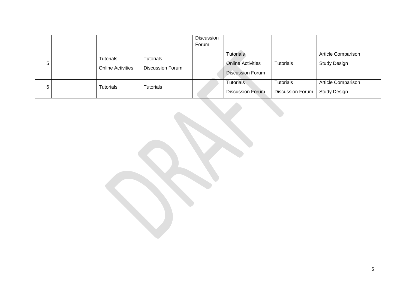|   |                                       |                                             | Discussion<br>Forum |                                                                         |                                      |                                           |
|---|---------------------------------------|---------------------------------------------|---------------------|-------------------------------------------------------------------------|--------------------------------------|-------------------------------------------|
| 5 | Tutorials<br><b>Online Activities</b> | <b>Tutorials</b><br><b>Discussion Forum</b> |                     | <b>Tutorials</b><br><b>Online Activities</b><br><b>Discussion Forum</b> | Tutorials                            | Article Comparison<br><b>Study Design</b> |
| 6 | Tutorials                             | <b>Tutorials</b>                            |                     | <b>Tutorials</b><br><b>Discussion Forum</b>                             | Tutorials<br><b>Discussion Forum</b> | Article Comparison<br><b>Study Design</b> |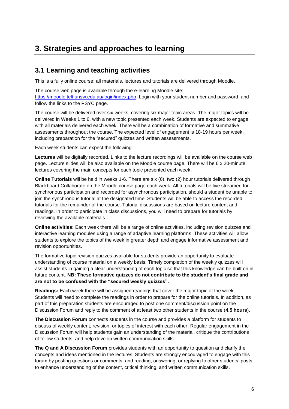## **3. Strategies and approaches to learning**

#### **3.1 Learning and teaching activities**

This is a fully online course; all materials, lectures and tutorials are delivered through Moodle.

The course web page is available through the e-learning Moodle site: [https://moodle.telt.unsw.edu.au/login/index.php.](https://moodle.telt.unsw.edu.au/login/index.php) Login with your student number and password, and follow the links to the PSYC page.

The course will be delivered over six weeks, covering six major topic areas. The major topics will be delivered in Weeks 1 to 6, with a new topic presented each week. Students are expected to engage with all materials delivered each week. There will be a combination of formative and summative assessments throughout the course. The expected level of engagement is 18-19 hours per week, including preparation for the "secured" quizzes and written assessments.

Each week students can expect the following:

**Lectures** will be digitally recorded. Links to the lecture recordings will be available on the course web page. Lecture slides will be also available on the Moodle course page. There will be 6 x 20-minute lectures covering the main concepts for each topic presented each week.

**Online Tutorials** will be held in weeks 1-6. There are six (6), two (2) hour tutorials delivered through Blackboard Collaborate on the Moodle course page each week. All tutorials will be live streamed for synchronous participation and recorded for asynchronous participation, should a student be unable to join the synchronous tutorial at the designated time. Students will be able to access the recorded tutorials for the remainder of the course. Tutorial discussions are based on lecture content and readings. In order to participate in class discussions, you will need to prepare for tutorials by reviewing the available materials.

**Online activities:** Each week there will be a range of online activities, including revision quizzes and interactive learning modules using a range of adaptive learning platforms. These activities will allow students to explore the topics of the week in greater depth and engage informative assessment and revision opportunities.

The formative topic revision quizzes available for students provide an opportunity to evaluate understanding of course material on a weekly basis. Timely completion of the weekly quizzes will assist students in gaining a clear understanding of each topic so that this knowledge can be built on in future content. **NB: These formative quizzes do not contribute to the student's final grade and are not to be confused with the "secured weekly quizzes".**

**Readings:** Each week there will be assigned readings that cover the major topic of the week. Students will need to complete the readings in order to prepare for the online tutorials. In addition, as part of this preparation students are encouraged to post one comment/discussion point on the Discussion Forum and reply to the comment of at least two other students in the course (**4.5 hours**).

**The Discussion Forum** connects students in the course and provides a platform for students to discuss of weekly content, revision, or topics of interest with each other. Regular engagement in the Discussion Forum will help students gain an understanding of the material, critique the contributions of fellow students, and help develop written communication skills.

**The Q and A Discussion Forum** provides students with an opportunity to question and clarify the concepts and ideas mentioned in the lectures. Students are strongly encouraged to engage with this forum by posting questions or comments, and reading, answering, or replying to other students' posts to enhance understanding of the content, critical thinking, and written communication skills.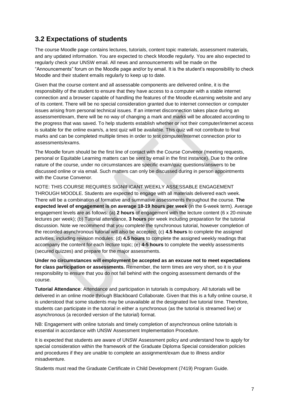#### **3.2 Expectations of students**

The course Moodle page contains lectures, tutorials, content topic materials, assessment materials, and any updated information. You are expected to check Moodle regularly. You are also expected to regularly check your UNSW email. All news and announcements will be made on the "Announcements" forum on the Moodle page and/or by email. It is the student's responsibility to check Moodle and their student emails regularly to keep up to date.

Given that the course content and all assessable components are delivered online, it is the responsibility of the student to ensure that they have access to a computer with a stable internet connection and a browser capable of handling the features of the Moodle eLearning website and any of its content. There will be no special consideration granted due to internet connection or computer issues arising from personal technical issues. If an internet disconnection takes place during an assessment/exam, there will be no way of changing a mark and marks will be allocated according to the progress that was saved. To help students establish whether or not their computer/internet access is suitable for the online exam/s, a test quiz will be available. This quiz will not contribute to final marks and can be completed multiple times in order to test computer/internet connection prior to assessments/exams.

The Moodle forum should be the first line of contact with the Course Convenor (meeting requests, personal or Equitable Learning matters can be sent by email in the first instance). Due to the online nature of the course, under no circumstances are specific exam/quiz questions/answers to be discussed online or via email. Such matters can only be discussed during in person appointments with the Course Convenor.

NOTE: THIS COURSE REQUIRES SIGNIFICANT WEEKLY ASSESSABLE ENGAGEMENT THROUGH MOODLE. Students are expected to engage with all materials delivered each week. There will be a combination of formative and summative assessments throughout the course. **The expected level of engagement is on average 18-19 hours per week** (in the 6-week term). Average engagement levels are as follows: (a) **2 hours** of engagement with the lecture content (6 x 20-minute lectures per week); (b) Tutorial attendance, **3 hours** per week including preparation for the tutorial discussion. Note we recommend that you complete the synchronous tutorial, however completion of the recorded asynchronous tutorial will also be accepted; (c) **4.5 hours** to complete the assigned activities, including revision modules; (d) **4.5 hours** to complete the assigned weekly readings that accompany the content for each lecture topic; (e) **4-5 hours** to complete the weekly assessments (secured quizzes) and prepare for the major assessments.

**Under no circumstances will employment be accepted as an excuse not to meet expectations for class participation or assessments.** Remember, the term times are very short, so it is your responsibility to ensure that you do not fall behind with the ongoing assessment demands of the course.

**Tutorial Attendance**: Attendance and participation in tutorials is compulsory. All tutorials will be delivered in an online mode through Blackboard Collaborate. Given that this is a fully online course, it is understood that some students may be unavailable at the designated live tutorial time. Therefore, students can participate in the tutorial in either a synchronous (as the tutorial is streamed live) or asynchronous (a recorded version of the tutorial) format.

NB: Engagement with online tutorials and timely completion of asynchronous online tutorials is essential in accordance with UNSW Assessment Implementation Procedure.

It is expected that students are aware of UNSW Assessment policy and understand how to apply for special consideration within the framework of the Graduate Diploma Special consideration policies and procedures if they are unable to complete an assignment/exam due to illness and/or misadventure.

Students must read the Graduate Certificate in Child Development (7419) Program Guide.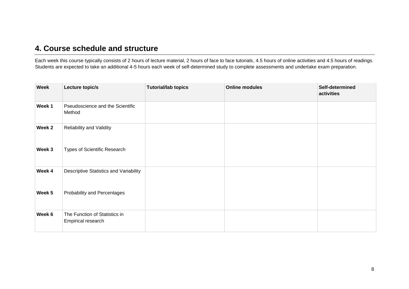#### **4. Course schedule and structure**

Each week this course typically consists of 2 hours of lecture material, 2 hours of face to face tutorials, 4.5 hours of online activities and 4.5 hours of readings. Students are expected to take an additional 4-5 hours each week of self-determined study to complete assessments and undertake exam preparation.

| <b>Week</b> | Lecture topic/s                                     | <b>Tutorial/lab topics</b> | <b>Online modules</b> | Self-determined<br>activities |
|-------------|-----------------------------------------------------|----------------------------|-----------------------|-------------------------------|
| Week 1      | Pseudoscience and the Scientific<br>Method          |                            |                       |                               |
| Week 2      | Reliability and Validity                            |                            |                       |                               |
| Week 3      | Types of Scientific Research                        |                            |                       |                               |
| Week 4      | Descriptive Statistics and Variability              |                            |                       |                               |
| Week 5      | Probability and Percentages                         |                            |                       |                               |
| Week 6      | The Function of Statistics in<br>Empirical research |                            |                       |                               |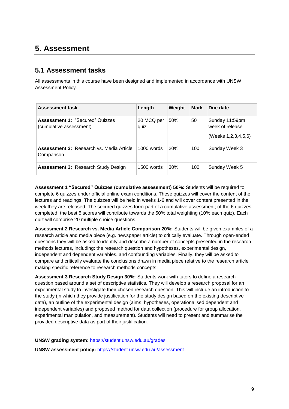## **5. Assessment**

#### **5.1 Assessment tasks**

All assessments in this course have been designed and implemented in accordance with UNSW Assessment Policy.

| <b>Assessment task</b>                                            | Length             | Weight | <b>Mark</b> | Due date                                                 |
|-------------------------------------------------------------------|--------------------|--------|-------------|----------------------------------------------------------|
| <b>Assessment 1: "Secured" Quizzes</b><br>(cumulative assessment) | 20 MCQ per<br>quiz | 50%    | 50          | Sunday 11:59pm<br>week of release<br>(Weeks 1,2,3,4,5,6) |
| <b>Assessment 2: Research vs. Media Article</b><br>Comparison     | $1000$ words       | 20%    | 100         | Sunday Week 3                                            |
| <b>Assessment 3: Research Study Design</b>                        | 1500 words         | 30%    | 100         | Sunday Week 5                                            |

**Assessment 1 "Secured" Quizzes (cumulative assessment) 50%:** Students will be required to complete 6 quizzes under official online exam conditions. These quizzes will cover the content of the lectures and readings. The quizzes will be held in weeks 1-6 and will cover content presented in the week they are released. The secured quizzes form part of a cumulative assessment; of the 6 quizzes completed, the best 5 scores will contribute towards the 50% total weighting (10% each quiz). Each quiz will comprise 20 multiple choice questions.

**Assessment 2 Research vs. Media Article Comparison 20%:** Students will be given examples of a research article and media piece (e.g. newspaper article) to critically evaluate. Through open-ended questions they will be asked to identify and describe a number of concepts presented in the research methods lectures, including: the research question and hypotheses, experimental design, independent and dependent variables, and confounding variables. Finally, they will be asked to compare and critically evaluate the conclusions drawn in media piece relative to the research article making specific reference to research methods concepts.

**Assessment 3 Research Study Design 30%:** Students work with tutors to define a research question based around a set of descriptive statistics. They will develop a research proposal for an experimental study to investigate their chosen research question. This will include an introduction to the study (in which they provide justification for the study design based on the existing descriptive data), an outline of the experimental design (aims, hypotheses, operationalised dependent and independent variables) and proposed method for data collection (procedure for group allocation, experimental manipulation, and measurement). Students will need to present and summarise the provided descriptive data as part of their justification.

**UNSW grading system:** <https://student.unsw.edu.au/grades>

**UNSW assessment policy:** <https://student.unsw.edu.au/assessment>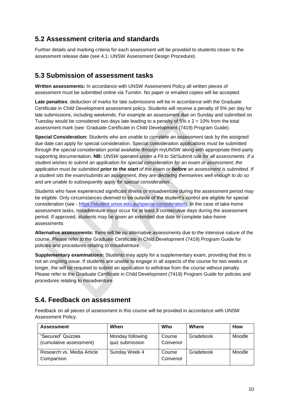#### **5.2 Assessment criteria and standards**

Further details and marking criteria for each assessment will be provided to students closer to the assessment release date (see 4.1: UNSW Assessment Design Procedure).

#### **5.3 Submission of assessment tasks**

**Written assessments:** In accordance with UNSW Assessment Policy all written pieces of assessment must be submitted online via Turnitin. No paper or emailed copies will be accepted.

**Late penalties**: deduction of marks for late submissions will be in accordance with the Graduate Certificate in Child Development assessment policy. Students will receive a penalty of 5% per day for late submissions, including weekends. For example an assessment due on Sunday and submitted on Tuesday would be considered two days late leading to a penalty of  $5\% \times 2 = 10\%$  from the total assessment mark (see: Graduate Certificate in Child Development (7419) Program Guide).

**Special Consideration:** Students who are unable to complete an assessment task by the assigned due date can apply for special consideration. Special consideration applications must be submitted through the special consideration portal available through myUNSW along with appropriate third-party supporting documentation. **NB:** *UNSW operates under a Fit to Sit/Submit rule for all assessments. If a student wishes to submit an application for special consideration for an exam or assessment, the application must be submitted prior to the start of the exam or before an assessment is submitted. If a student sits the exam/submits an assignment, they are declaring themselves well enough to do so and are unable to subsequently apply for special consideration.*

Students who have experienced significant illness or misadventure during the assessment period may be eligible. Only circumstances deemed to be outside of the student's control are eligible for special consideration (see - [https://student.unsw.edu.au/special-consideration\)](https://student.unsw.edu.au/special-consideration). In the case of take-home assessment tasks, misadventure must occur for at least 3 consecutive days during the assessment period. If approved, students may be given an extended due date to complete take-home assessments

**Alternative assessments:** there will be no alternative assessments due to the intensive nature of the course. Please refer to the Graduate Certificate in Child Development (7419) Program Guide for policies and procedures relating to misadventure.

**Supplementary examinations:** Students may apply for a supplementary exam, providing that this is not an ongoing issue. If students are unable to engage in all aspects of the course for two weeks or longer, the will be required to submit an application to withdraw from the course without penalty. Please refer to the Graduate Certificate in Child Development (7419) Program Guide for policies and procedures relating to misadventure.

#### **5.4. Feedback on assessment**

Feedback on all pieces of assessment in this course will be provided in accordance with UNSW Assessment Policy.

| <b>Assessment</b>          | When             | Who      | Where     | <b>How</b> |
|----------------------------|------------------|----------|-----------|------------|
| "Secured" Quizzes          | Monday following | Course   | Gradebook | Moodle     |
| (cumulative assessment)    | quiz submission  | Convenor |           |            |
| Research vs. Media Article | Sunday Week 4    | Course   | Gradebook | Moodle     |
| Comparison                 |                  | Convenor |           |            |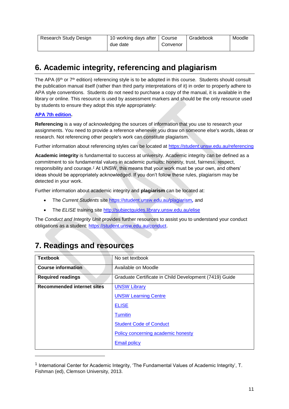| Research Study Design | 10 working days after   Course |          | Gradebook | Moodle |
|-----------------------|--------------------------------|----------|-----------|--------|
|                       | due date                       | Convenor |           |        |

## **6. Academic integrity, referencing and plagiarism**

The APA (6<sup>th</sup> or 7<sup>th</sup> edition) referencing style is to be adopted in this course. Students should consult the publication manual itself (rather than third party interpretations of it) in order to properly adhere to APA style conventions. Students do not need to purchase a copy of the manual, it is available in the library or online. This resource is used by assessment markers and should be the only resource used by students to ensure they adopt this style appropriately:

#### **[APA 7th edition.](http://www.apastyle.org/manual/index.aspx)**

l

**Referencing** is a way of acknowledging the sources of information that you use to research your assignments. You need to provide a reference whenever you draw on someone else's words, ideas or research. Not referencing other people's work can constitute plagiarism.

Further information about referencing styles can be located at <https://student.unsw.edu.au/referencing>

**Academic integrity** is fundamental to success at university. Academic integrity can be defined as a commitment to six fundamental values in academic pursuits**:** honesty, trust, fairness, respect, responsibility and courage.*<sup>1</sup>* At UNSW, this means that your work must be your own, and others' ideas should be appropriately acknowledged. If you don't follow these rules, plagiarism may be detected in your work.

Further information about academic integrity and **plagiarism** can be located at:

- The *Current Students* site <https://student.unsw.edu.au/plagiarism>*,* and
- The *ELISE* training site <http://subjectguides.library.unsw.edu.au/elise>

The *Conduct and Integrity Unit* provides further resources to assist you to understand your conduct obligations as a student: [https://student.unsw.edu.au/conduct.](https://student.unsw.edu.au/conduct)

## **7. Readings and resources**

| <b>Textbook</b>                   | No set textbook                                        |
|-----------------------------------|--------------------------------------------------------|
| <b>Course information</b>         | Available on Moodle                                    |
| <b>Required readings</b>          | Graduate Certificate in Child Development (7419) Guide |
| <b>Recommended internet sites</b> | <b>UNSW Library</b>                                    |
|                                   | <b>UNSW Learning Centre</b>                            |
|                                   | <b>ELISE</b>                                           |
|                                   | <b>Turnitin</b>                                        |
|                                   | <b>Student Code of Conduct</b>                         |
|                                   | Policy concerning academic honesty                     |
|                                   | <b>Email policy</b>                                    |

 $^{\text{1}}$  International Center for Academic Integrity, 'The Fundamental Values of Academic Integrity', T. Fishman (ed), Clemson University, 2013.